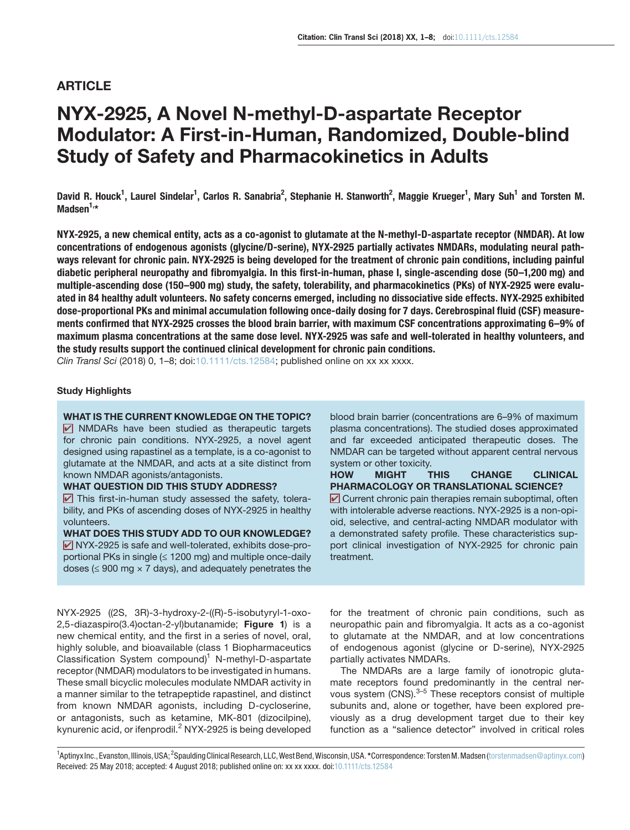# ARTICLE

# NYX-2925, A Novel N-methyl-D-aspartate Receptor Modulator: A First-in-Human, Randomized, Double-blind Study of Safety and Pharmacokinetics in Adults

David R. Houck<sup>1</sup>, Laurel Sindelar<sup>1</sup>, Carlos R. Sanabria<sup>2</sup>, Stephanie H. Stanworth<sup>2</sup>, Maggie Krueger<sup>1</sup>, Mary Suh<sup>1</sup> and Torsten M. Madsen $1, *$ 

NYX-2925, a new chemical entity, acts as a co-agonist to glutamate at the N-methyl-D-aspartate receptor (NMDAR). At low concentrations of endogenous agonists (glycine/D-serine), NYX-2925 partially activates NMDARs, modulating neural pathways relevant for chronic pain. NYX-2925 is being developed for the treatment of chronic pain conditions, including painful diabetic peripheral neuropathy and fibromyalgia. In this first-in-human, phase I, single-ascending dose (50–1,200 mg) and multiple-ascending dose (150–900 mg) study, the safety, tolerability, and pharmacokinetics (PKs) of NYX-2925 were evaluated in 84 healthy adult volunteers. No safety concerns emerged, including no dissociative side effects. NYX-2925 exhibited dose-proportional PKs and minimal accumulation following once-daily dosing for 7 days. Cerebrospinal fluid (CSF) measurements confirmed that NYX-2925 crosses the blood brain barrier, with maximum CSF concentrations approximating 6–9% of maximum plasma concentrations at the same dose level. NYX-2925 was safe and well-tolerated in healthy volunteers, and the study results support the continued clinical development for chronic pain conditions.

*Clin Transl Sci* (2018) 0, 1–8; doi:10.1111/cts.12584; published online on xx xx xxxx.

# Study Highlights

WHAT IS THE CURRENT KNOWLEDGE ON THE TOPIC?  $\triangledown$  NMDARs have been studied as therapeutic targets for chronic pain conditions. NYX-2925, a novel agent designed using rapastinel as a template, is a co-agonist to glutamate at the NMDAR, and acts at a site distinct from known NMDAR agonists/antagonists.

#### WHAT QUESTION DID THIS STUDY ADDRESS?

 $\triangleright$  This first-in-human study assessed the safety, tolerability, and PKs of ascending doses of NYX-2925 in healthy volunteers.

WHAT DOES THIS STUDY ADD TO OUR KNOWLEDGE?  $\triangledown$  NYX-2925 is safe and well-tolerated, exhibits dose-proportional PKs in single  $(≤ 1200$  mg) and multiple once-daily doses ( $\leq$  900 mg  $\times$  7 days), and adequately penetrates the

NYX-2925 ((2S, 3R)-3-hydroxy-2-((R)-5-isobutyryl-1-oxo-2,5-diazaspiro(3.4) octan-2-yl) butanamide; Figure 1) is a new chemical entity, and the first in a series of novel, oral, highly soluble, and bioavailable (class 1 Biopharmaceutics Classification System compound)<sup>1</sup> N-methyl-D-aspartate receptor (NMDAR) modulators to be investigated in humans. These small bicyclic molecules modulate NMDAR activity in a manner similar to the tetrapeptide rapastinel, and distinct from known NMDAR agonists, including D-cycloserine, or antagonists, such as ketamine, MK-801 (dizocilpine), kynurenic acid, or ifenprodil.<sup>2</sup> NYX-2925 is being developed blood brain barrier (concentrations are 6–9% of maximum plasma concentrations). The studied doses approximated and far exceeded anticipated therapeutic doses. The NMDAR can be targeted without apparent central nervous system or other toxicity.

HOW MIGHT THIS CHANGE CLINICAL PHARMACOLOGY OR TRANSLATIONAL SCIENCE?  $\triangledown$  Current chronic pain therapies remain suboptimal, often with intolerable adverse reactions. NYX-2925 is a non-opioid, selective, and central-acting NMDAR modulator with a demonstrated safety profile. These characteristics support clinical investigation of NYX-2925 for chronic pain treatment.

for the treatment of chronic pain conditions, such as neuropathic pain and fibromyalgia. It acts as a co-agonist to glutamate at the NMDAR, and at low concentrations of endogenous agonist (glycine or D-serine), NYX-2925 partially activates NMDARs.

The NMDARs are a large family of ionotropic glutamate receptors found predominantly in the central nervous system  $(CNS)$ .  $3-5$  These receptors consist of multiple subunits and, alone or together, have been explored previously as a drug development target due to their key function as a "salience detector" involved in critical roles

<sup>1</sup>Aptinyx Inc., Evanston, Illinois, USA; <sup>2</sup>Spaulding Clinical Research, LLC, West Bend, Wisconsin, USA. \*Correspondence: Torsten M. Madsen ([torstenmadsen@aptinyx.com](mailto:torstenmadsen@aptinyx.com)) Received: 25 May 2018; accepted: 4 August 2018; published online on: xx xx xxxx. doi:10.1111/cts.12584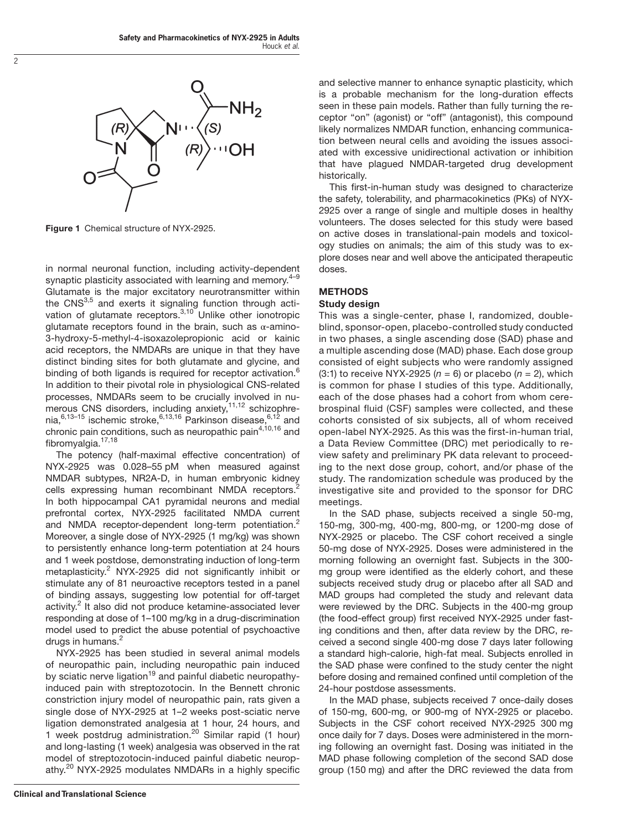

Figure 1 Chemical structure of NYX-2925.

in normal neuronal function, including activity-dependent synaptic plasticity associated with learning and memory.<sup>4-9</sup> Glutamate is the major excitatory neurotransmitter within the CNS<sup>3,5</sup> and exerts it signaling function through activation of glutamate receptors.<sup>3,10</sup> Unlike other ionotropic glutamate receptors found in the brain, such as  $\alpha$ -amino-3-hydroxy-5-methyl-4-isoxazolepropionic acid or kainic acid receptors, the NMDARs are unique in that they have distinct binding sites for both glutamate and glycine, and binding of both ligands is required for receptor activation.<sup>6</sup> In addition to their pivotal role in physiological CNS-related processes, NMDARs seem to be crucially involved in numerous CNS disorders, including anxiety,  $11,12$  schizophrenia, $6,13-15$  ischemic stroke, $6,13,16$  Parkinson disease, $6,12$  and chronic pain conditions, such as neuropathic pain<sup>4,10,16</sup> and fibromyalgia. $17,18$ 

The potency (half-maximal effective concentration) of NYX-2925 was 0.028–55 pM when measured against NMDAR subtypes, NR2A-D, in human embryonic kidney cells expressing human recombinant NMDA receptors.<sup>2</sup> In both hippocampal CA1 pyramidal neurons and medial prefrontal cortex, NYX-2925 facilitated NMDA current and NMDA receptor-dependent long-term potentiation.<sup>2</sup> Moreover, a single dose of NYX-2925 (1 mg/kg) was shown to persistently enhance long-term potentiation at 24 hours and 1 week postdose, demonstrating induction of long-term metaplasticity.<sup>2</sup> NYX-2925 did not significantly inhibit or stimulate any of 81 neuroactive receptors tested in a panel of binding assays, suggesting low potential for off-target activity.<sup>2</sup> It also did not produce ketamine-associated lever responding at dose of 1–100 mg/kg in a drug-discrimination model used to predict the abuse potential of psychoactive drugs in humans. $<sup>2</sup>$ </sup>

NYX-2925 has been studied in several animal models of neuropathic pain, including neuropathic pain induced by sciatic nerve ligation<sup>19</sup> and painful diabetic neuropathyinduced pain with streptozotocin. In the Bennett chronic constriction injury model of neuropathic pain, rats given a single dose of NYX-2925 at 1–2 weeks post-sciatic nerve ligation demonstrated analgesia at 1 hour, 24 hours, and 1 week postdrug administration.<sup>20</sup> Similar rapid (1 hour) and long-lasting (1 week) analgesia was observed in the rat model of streptozotocin-induced painful diabetic neuropathy.<sup>20</sup> NYX-2925 modulates NMDARs in a highly specific

and selective manner to enhance synaptic plasticity, which is a probable mechanism for the long-duration effects seen in these pain models. Rather than fully turning the receptor "on" (agonist) or "off" (antagonist), this compound likely normalizes NMDAR function, enhancing communication between neural cells and avoiding the issues associated with excessive unidirectional activation or inhibition that have plagued NMDAR-targeted drug development historically.

This first-in-human study was designed to characterize the safety, tolerability, and pharmacokinetics (PKs) of NYX-2925 over a range of single and multiple doses in healthy volunteers. The doses selected for this study were based on active doses in translational-pain models and toxicology studies on animals; the aim of this study was to explore doses near and well above the anticipated therapeutic doses.

# METHODS Study design

This was a single-center, phase I, randomized, doubleblind, sponsor-open, placebo-controlled study conducted in two phases, a single ascending dose (SAD) phase and a multiple ascending dose (MAD) phase. Each dose group consisted of eight subjects who were randomly assigned  $(3:1)$  to receive NYX-2925 ( $n = 6$ ) or placebo ( $n = 2$ ), which is common for phase I studies of this type. Additionally, each of the dose phases had a cohort from whom cerebrospinal fluid (CSF) samples were collected, and these cohorts consisted of six subjects, all of whom received open-label NYX-2925. As this was the first-in-human trial, a Data Review Committee (DRC) met periodically to review safety and preliminary PK data relevant to proceeding to the next dose group, cohort, and/or phase of the study. The randomization schedule was produced by the investigative site and provided to the sponsor for DRC meetings.

In the SAD phase, subjects received a single 50-mg, 150-mg, 300-mg, 400-mg, 800-mg, or 1200-mg dose of NYX-2925 or placebo. The CSF cohort received a single 50-mg dose of NYX-2925. Doses were administered in the morning following an overnight fast. Subjects in the 300 mg group were identified as the elderly cohort, and these subjects received study drug or placebo after all SAD and MAD groups had completed the study and relevant data were reviewed by the DRC. Subjects in the 400-mg group (the food-effect group) first received NYX-2925 under fasting conditions and then, after data review by the DRC, received a second single 400-mg dose 7 days later following a standard high-calorie, high-fat meal. Subjects enrolled in the SAD phase were confined to the study center the night before dosing and remained confined until completion of the 24-hour postdose assessments.

In the MAD phase, subjects received 7 once-daily doses of 150-mg, 600-mg, or 900-mg of NYX-2925 or placebo. Subjects in the CSF cohort received NYX-2925 300 mg once daily for 7 days. Doses were administered in the morning following an overnight fast. Dosing was initiated in the MAD phase following completion of the second SAD dose group (150 mg) and after the DRC reviewed the data from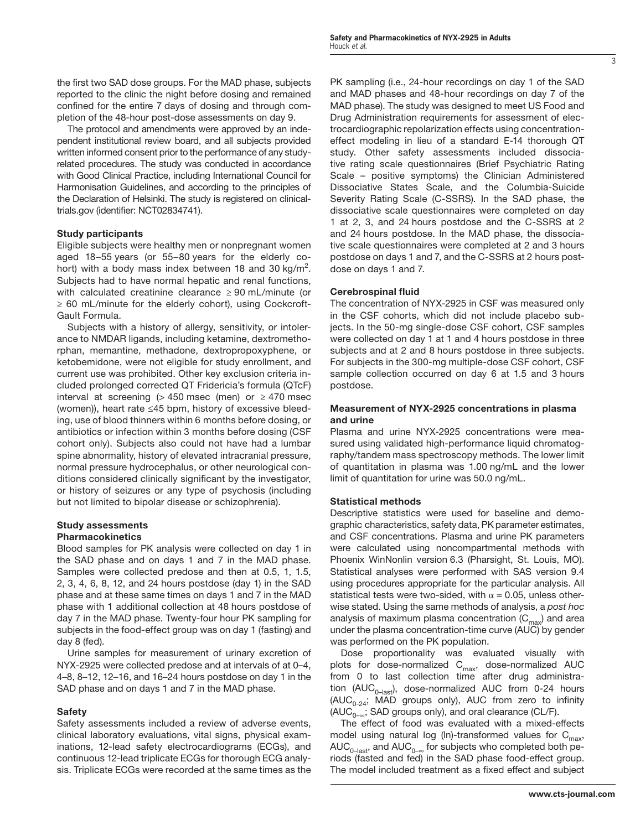the first two SAD dose groups. For the MAD phase, subjects reported to the clinic the night before dosing and remained confined for the entire 7 days of dosing and through completion of the 48-hour post-dose assessments on day 9.

The protocol and amendments were approved by an independent institutional review board, and all subjects provided written informed consent prior to the performance of any studyrelated procedures. The study was conducted in accordance with Good Clinical Practice, including International Council for Harmonisation Guidelines, and according to the principles of the Declaration of Helsinki. The study is registered on clinicaltrials.gov (identifier: NCT02834741).

# Study participants

Eligible subjects were healthy men or nonpregnant women aged 18–55 years (or 55–80 years for the elderly cohort) with a body mass index between 18 and 30 kg/m<sup>2</sup>. Subjects had to have normal hepatic and renal functions, with calculated creatinine clearance  $\geq 90$  mL/minute (or ≥ 60 mL/minute for the elderly cohort), using Cockcroft-Gault Formula.

Subjects with a history of allergy, sensitivity, or intolerance to NMDAR ligands, including ketamine, dextromethorphan, memantine, methadone, dextropropoxyphene, or ketobemidone, were not eligible for study enrollment, and current use was prohibited. Other key exclusion criteria included prolonged corrected QT Fridericia's formula (QTcF) interval at screening ( $> 450$  msec (men) or  $\geq 470$  msec (women)), heart rate ≤45 bpm, history of excessive bleeding, use of blood thinners within 6 months before dosing, or antibiotics or infection within 3 months before dosing (CSF cohort only). Subjects also could not have had a lumbar spine abnormality, history of elevated intracranial pressure, normal pressure hydrocephalus, or other neurological conditions considered clinically significant by the investigator, or history of seizures or any type of psychosis (including but not limited to bipolar disease or schizophrenia).

#### Study assessments Pharmacokinetics

Blood samples for PK analysis were collected on day 1 in the SAD phase and on days 1 and 7 in the MAD phase. Samples were collected predose and then at 0.5, 1, 1.5, 2, 3, 4, 6, 8, 12, and 24 hours postdose (day 1) in the SAD phase and at these same times on days 1 and 7 in the MAD phase with 1 additional collection at 48 hours postdose of day 7 in the MAD phase. Twenty-four hour PK sampling for subjects in the food-effect group was on day 1 (fasting) and day 8 (fed).

Urine samples for measurement of urinary excretion of NYX-2925 were collected predose and at intervals of at 0–4, 4–8, 8–12, 12–16, and 16–24 hours postdose on day 1 in the SAD phase and on days 1 and 7 in the MAD phase.

# Safety

Safety assessments included a review of adverse events, clinical laboratory evaluations, vital signs, physical examinations, 12-lead safety electrocardiograms (ECGs), and continuous 12-lead triplicate ECGs for thorough ECG analysis. Triplicate ECGs were recorded at the same times as the

PK sampling (i.e., 24-hour recordings on day 1 of the SAD and MAD phases and 48-hour recordings on day 7 of the MAD phase). The study was designed to meet US Food and Drug Administration requirements for assessment of electrocardiographic repolarization effects using concentrationeffect modeling in lieu of a standard E-14 thorough QT study. Other safety assessments included dissociative rating scale questionnaires (Brief Psychiatric Rating Scale – positive symptoms) the Clinician Administered Dissociative States Scale, and the Columbia-Suicide Severity Rating Scale (C-SSRS). In the SAD phase, the dissociative scale questionnaires were completed on day 1 at 2, 3, and 24 hours postdose and the C-SSRS at 2 and 24 hours postdose. In the MAD phase, the dissociative scale questionnaires were completed at 2 and 3 hours postdose on days 1 and 7, and the C-SSRS at 2 hours postdose on days 1 and 7.

# Cerebrospinal fluid

The concentration of NYX-2925 in CSF was measured only in the CSF cohorts, which did not include placebo subjects. In the 50-mg single-dose CSF cohort, CSF samples were collected on day 1 at 1 and 4 hours postdose in three subjects and at 2 and 8 hours postdose in three subjects. For subjects in the 300-mg multiple-dose CSF cohort, CSF sample collection occurred on day 6 at 1.5 and 3 hours postdose.

#### Measurement of NYX-2925 concentrations in plasma and urine

Plasma and urine NYX-2925 concentrations were measured using validated high-performance liquid chromatography/tandem mass spectroscopy methods. The lower limit of quantitation in plasma was 1.00 ng/mL and the lower limit of quantitation for urine was 50.0 ng/mL.

# Statistical methods

Descriptive statistics were used for baseline and demographic characteristics, safety data, PK parameter estimates, and CSF concentrations. Plasma and urine PK parameters were calculated using noncompartmental methods with Phoenix WinNonlin version 6.3 (Pharsight, St. Louis, MO). Statistical analyses were performed with SAS version 9.4 using procedures appropriate for the particular analysis. All statistical tests were two-sided, with  $\alpha = 0.05$ , unless otherwise stated. Using the same methods of analysis, a *post hoc* analysis of maximum plasma concentration  $(C_{\text{max}})$  and area under the plasma concentration-time curve (AUC) by gender was performed on the PK population.

Dose proportionality was evaluated visually with plots for dose-normalized  $\mathsf{C}_{\mathsf{max}}$ , dose-normalized AUC from 0 to last collection time after drug administration (AUC<sub>0-last</sub>), dose-normalized AUC from 0-24 hours (AUC<sub>0-24</sub>; MAD groups only), AUC from zero to infinity (AUC<sub>0–∞</sub>; SAD groups only), and oral clearance (CL/F).

The effect of food was evaluated with a mixed-effects model using natural log (ln)-transformed values for  $C_{max}$ ,  $\mathsf{AUC}_{0-\text{last}}$ , and  $\mathsf{AUC}_{0-\infty}$  for subjects who completed both periods (fasted and fed) in the SAD phase food-effect group. The model included treatment as a fixed effect and subject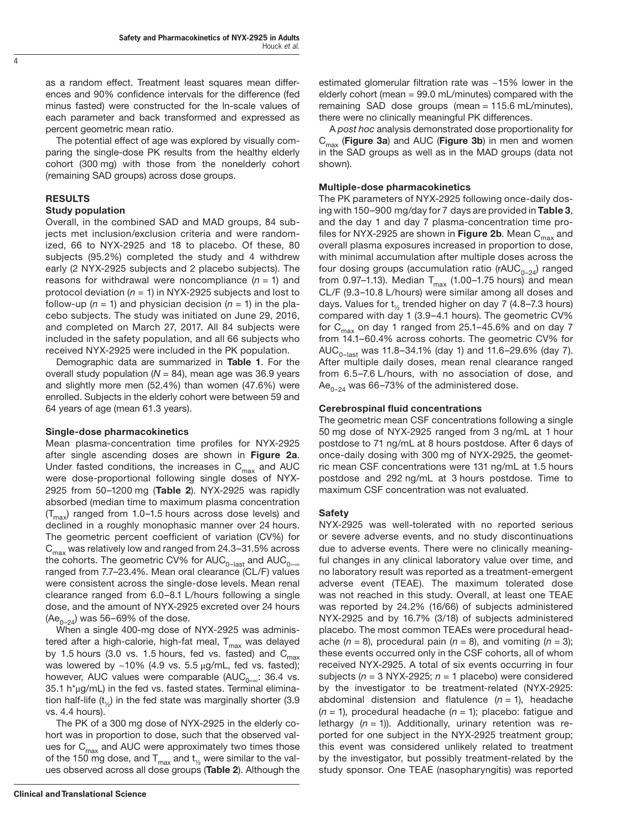as a random effect. Treatment least squares mean differences and 90% confidence intervals for the difference (fed minus fasted) were constructed for the ln-scale values of each parameter and back transformed and expressed as percent geometric mean ratio.

The potential effect of age was explored by visually comparing the single-dose PK results from the healthy elderly cohort (300 mg) with those from the nonelderly cohort (remaining SAD groups) across dose groups.

#### RESULTS

#### Study population

Overall, in the combined SAD and MAD groups, 84 subjects met inclusion/exclusion criteria and were randomized, 66 to NYX-2925 and 18 to placebo. Of these, 80 subjects (95.2%) completed the study and 4 withdrew early (2 NYX-2925 subjects and 2 placebo subjects). The reasons for withdrawal were noncompliance  $(n = 1)$  and protocol deviation (*n* = 1) in NYX-2925 subjects and lost to follow-up ( $n = 1$ ) and physician decision ( $n = 1$ ) in the placebo subjects. The study was initiated on June 29, 2016, and completed on March 27, 2017. All 84 subjects were included in the safety population, and all 66 subjects who received NYX-2925 were included in the PK population.

Demographic data are summarized in Table 1. For the overall study population  $(N = 84)$ , mean age was 36.9 years and slightly more men (52.4%) than women (47.6%) were enrolled. Subjects in the elderly cohort were between 59 and 64 years of age (mean 61.3 years).

# Single-dose pharmacokinetics

Mean plasma-concentration time profiles for NYX-2925 after single ascending doses are shown in Figure 2a. Under fasted conditions, the increases in  $C_{\text{max}}$  and AUC were dose-proportional following single doses of NYX-2925 from 50–1200 mg (Table 2). NYX-2925 was rapidly absorbed (median time to maximum plasma concentration  $(T<sub>max</sub>)$  ranged from 1.0–1.5 hours across dose levels) and declined in a roughly monophasic manner over 24 hours. The geometric percent coefficient of variation (CV%) for  $C_{\text{max}}$  was relatively low and ranged from 24.3–31.5% across the cohorts. The geometric CV% for AUC<sub>0–last</sub> and AUC<sub>0–∞</sub> ranged from 7.7–23.4%. Mean oral clearance (CL/F) values were consistent across the single-dose levels. Mean renal clearance ranged from 6.0–8.1 L/hours following a single dose, and the amount of NYX-2925 excreted over 24 hours  $(Ae_{0-24})$  was 56–69% of the dose.

When a single 400-mg dose of NYX-2925 was administered after a high-calorie, high-fat meal,  $T_{max}$  was delayed by 1.5 hours (3.0 vs. 1.5 hours, fed vs. fasted) and  $C_{\text{max}}$ was lowered by  $~10\%$  (4.9 vs. 5.5  $\mu$ g/mL, fed vs. fasted); however, AUC values were comparable ( $AUC_{0,\ldots}$ : 36.4 vs. 35.1 h\*μg/mL) in the fed vs. fasted states. Terminal elimination half-life  $(t_{1/2})$  in the fed state was marginally shorter (3.9) vs. 4.4 hours).

The PK of a 300 mg dose of NYX-2925 in the elderly cohort was in proportion to dose, such that the observed values for  $C_{\text{max}}$  and AUC were approximately two times those of the 150 mg dose, and  $T_{\text{max}}$  and  $t_{\text{1/2}}$  were similar to the values observed across all dose groups (Table 2). Although the estimated glomerular filtration rate was ~15% lower in the elderly cohort (mean = 99.0 mL/minutes) compared with the remaining SAD dose groups (mean = 115.6 mL/minutes), there were no clinically meaningful PK differences.

A *post hoc* analysis demonstrated dose proportionality for  $C_{\text{max}}$  (Figure 3a) and AUC (Figure 3b) in men and women in the SAD groups as well as in the MAD groups (data not shown).

#### Multiple-dose pharmacokinetics

The PK parameters of NYX-2925 following once-daily dosing with 150–900 mg/day for 7 days are provided in Table 3, and the day 1 and day 7 plasma-concentration time profiles for NYX-2925 are shown in Figure 2b. Mean  $C_{max}$  and overall plasma exposures increased in proportion to dose, with minimal accumulation after multiple doses across the four dosing groups (accumulation ratio (rAUC<sub>0-24</sub>) ranged from 0.97–1.13). Median  $T_{\text{max}}$  (1.00–1.75 hours) and mean CL/F (9.3–10.8 L/hours) were similar among all doses and days. Values for  $t_{1/2}$  trended higher on day 7 (4.8–7.3 hours) compared with day 1 (3.9–4.1 hours). The geometric CV% for  $C_{\text{max}}$  on day 1 ranged from 25.1–45.6% and on day 7 from 14.1–60.4% across cohorts. The geometric CV% for AUC<sub>0-last</sub> was 11.8-34.1% (day 1) and 11.6-29.6% (day 7). After multiple daily doses, mean renal clearance ranged from 6.5–7.6 L/hours, with no association of dose, and Ae<sub>0-24</sub> was 66-73% of the administered dose.

#### Cerebrospinal fluid concentrations

The geometric mean CSF concentrations following a single 50 mg dose of NYX-2925 ranged from 3 ng/mL at 1 hour postdose to 71 ng/mL at 8 hours postdose. After 6 days of once-daily dosing with 300 mg of NYX-2925, the geometric mean CSF concentrations were 131 ng/mL at 1.5 hours postdose and 292 ng/mL at 3 hours postdose. Time to maximum CSF concentration was not evaluated.

#### Safety

NYX-2925 was well-tolerated with no reported serious or severe adverse events, and no study discontinuations due to adverse events. There were no clinically meaningful changes in any clinical laboratory value over time, and no laboratory result was reported as a treatment-emergent adverse event (TEAE). The maximum tolerated dose was not reached in this study. Overall, at least one TEAE was reported by 24.2% (16/66) of subjects administered NYX-2925 and by 16.7% (3/18) of subjects administered placebo. The most common TEAEs were procedural headache  $(n = 8)$ , procedural pain  $(n = 8)$ , and vomiting  $(n = 3)$ ; these events occurred only in the CSF cohorts, all of whom received NYX-2925. A total of six events occurring in four subjects (*n* = 3 NYX-2925; *n* = 1 placebo) were considered by the investigator to be treatment-related (NYX-2925: abdominal distension and flatulence (*n* = 1), headache (*n* = 1), procedural headache (*n* = 1); placebo: fatigue and lethargy (*n* = 1)). Additionally, urinary retention was reported for one subject in the NYX-2925 treatment group; this event was considered unlikely related to treatment by the investigator, but possibly treatment-related by the study sponsor. One TEAE (nasopharyngitis) was reported

4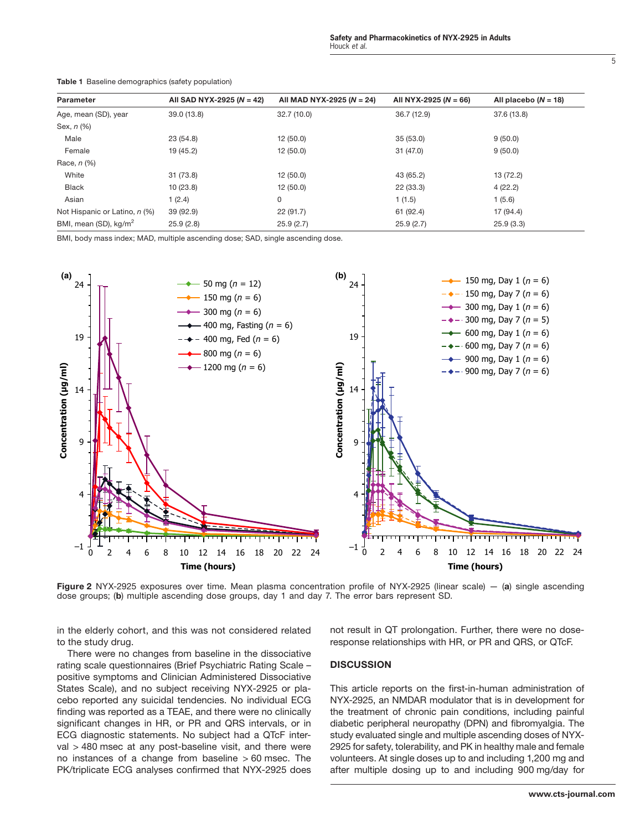| Parameter                         | All SAD NYX-2925 ( $N = 42$ ) | All MAD NYX-2925 ( $N = 24$ ) | All NYX-2925 ( $N = 66$ ) | All placebo $(N = 18)$ |
|-----------------------------------|-------------------------------|-------------------------------|---------------------------|------------------------|
| Age, mean (SD), year              | 39.0 (13.8)                   | 32.7(10.0)                    | 36.7 (12.9)               | 37.6 (13.8)            |
| Sex, n (%)                        |                               |                               |                           |                        |
| Male                              | 23(54.8)                      | 12(50.0)                      | 35(53.0)                  | 9(50.0)                |
| Female                            | 19 (45.2)                     | 12(50.0)                      | 31 (47.0)                 | 9(50.0)                |
| Race, $n$ $%$                     |                               |                               |                           |                        |
| White                             | 31 (73.8)                     | 12(50.0)                      | 43 (65.2)                 | 13 (72.2)              |
| <b>Black</b>                      | 10(23.8)                      | 12(50.0)                      | 22(33.3)                  | 4(22.2)                |
| Asian                             | 1(2.4)                        | 0                             | 1(1.5)                    | 1(5.6)                 |
| Not Hispanic or Latino, n (%)     | 39 (92.9)                     | 22(91.7)                      | 61 (92.4)                 | 17 (94.4)              |
| BMI, mean (SD), kg/m <sup>2</sup> | 25.9(2.8)                     | 25.9(2.7)                     | 25.9(2.7)                 | 25.9(3.3)              |

Table 1 Baseline demographics (safety population)

BMI, body mass index; MAD, multiple ascending dose; SAD, single ascending dose.



Figure 2 NYX-2925 exposures over time. Mean plasma concentration profile of NYX-2925 (linear scale) - (a) single ascending dose groups; (b) multiple ascending dose groups, day 1 and day 7. The error bars represent SD.

in the elderly cohort, and this was not considered related to the study drug.

There were no changes from baseline in the dissociative rating scale questionnaires (Brief Psychiatric Rating Scale – positive symptoms and Clinician Administered Dissociative States Scale), and no subject receiving NYX-2925 or placebo reported any suicidal tendencies. No individual ECG finding was reported as a TEAE, and there were no clinically significant changes in HR, or PR and QRS intervals, or in ECG diagnostic statements. No subject had a QTcF interval > 480 msec at any post-baseline visit, and there were no instances of a change from baseline  $> 60$  msec. The PK/triplicate ECG analyses confirmed that NYX-2925 does not result in QT prolongation. Further, there were no doseresponse relationships with HR, or PR and QRS, or QTcF.

# **DISCUSSION**

This article reports on the first-in-human administration of NYX-2925, an NMDAR modulator that is in development for the treatment of chronic pain conditions, including painful diabetic peripheral neuropathy (DPN) and fibromyalgia. The study evaluated single and multiple ascending doses of NYX-2925 for safety, tolerability, and PK in healthy male and female volunteers. At single doses up to and including 1,200 mg and after multiple dosing up to and including 900 mg/day for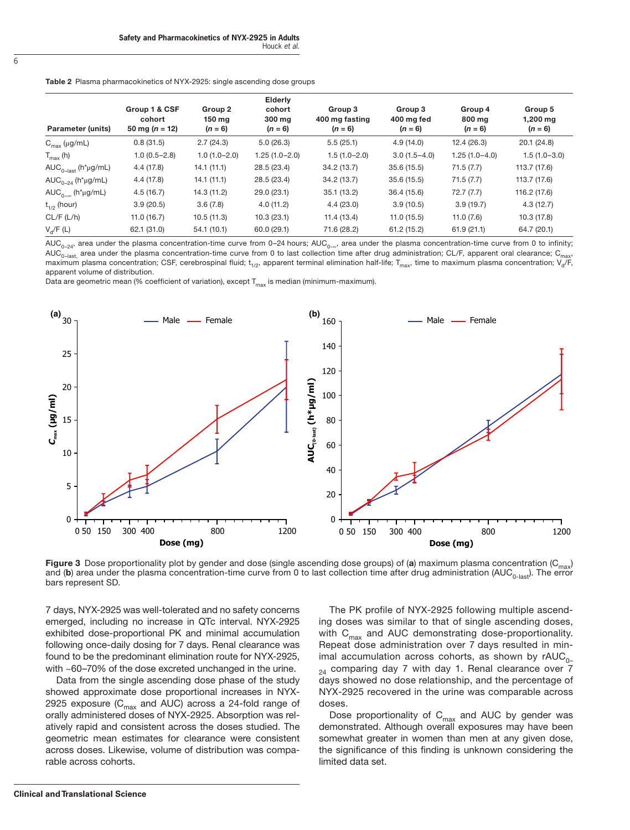| <b>Table 2</b> Plasma pharmacokinetics of NYX-2925: single ascending dose groups |  |  |
|----------------------------------------------------------------------------------|--|--|
|                                                                                  |  |  |

| Parameter (units)                                           | Group 1 & CSF<br>cohort<br>50 mg ( $n = 12$ ) | Group 2<br>150 mg<br>$(n = 6)$ | Elderly<br>cohort<br>300 mg<br>$(n = 6)$ | Group 3<br>400 mg fasting<br>$(n = 6)$ | Group 3<br>400 mg fed<br>$(n = 6)$ | Group 4<br>800 ma<br>$(n = 6)$ | Group 5<br>$1,200$ mg<br>$(n = 6)$ |
|-------------------------------------------------------------|-----------------------------------------------|--------------------------------|------------------------------------------|----------------------------------------|------------------------------------|--------------------------------|------------------------------------|
| $C_{\text{max}}$ (µg/mL)                                    | 0.8(31.5)                                     | 2.7(24.3)                      | 5.0(26.3)                                | 5.5(25.1)                              | 4.9(14.0)                          | 12.4(26.3)                     | 20.1(24.8)                         |
| $T_{\text{max}}$ (h)                                        | $1.0(0.5-2.8)$                                | $1.0(1.0 - 2.0)$               | $1.25(1.0-2.0)$                          | $1.5(1.0-2.0)$                         | $3.0(1.5-4.0)$                     | $1.25(1.0-4.0)$                | $1.5(1.0-3.0)$                     |
| $AUC_{0-last}$ (h*µg/mL)                                    | 4.4(17.8)                                     | 14.1(11.1)                     | 28.5 (23.4)                              | 34.2 (13.7)                            | 35.6(15.5)                         | 71.5(7.7)                      | 113.7 (17.6)                       |
| $AUC_{0-24}$ (h <sup>*</sup> µg/mL)                         | 4.4(17.8)                                     | 14.1(11.1)                     | 28.5 (23.4)                              | 34.2 (13.7)                            | 35.6(15.5)                         | 71.5(7.7)                      | 113.7 (17.6)                       |
| AUC <sub>0-<math>\infty</math></sub> (h <sup>*</sup> µg/mL) | 4.5(16.7)                                     | 14.3 (11.2)                    | 29.0 (23.1)                              | 35.1(13.2)                             | 36.4 (15.6)                        | 72.7(7.7)                      | 116.2 (17.6)                       |
| $t_{1/2}$ (hour)                                            | 3.9(20.5)                                     | 3.6(7.8)                       | 4.0(11.2)                                | 4.4(23.0)                              | 3.9(10.5)                          | 3.9(19.7)                      | 4.3(12.7)                          |
| CL/F (L/h)                                                  | 11.0(16.7)                                    | 10.5(11.3)                     | 10.3(23.1)                               | 11.4(13.4)                             | 11.0(15.5)                         | 11.0(7.6)                      | 10.3 (17.8)                        |
| $V_{d}/F(L)$                                                | 62.1 (31.0)                                   | 54.1(10.1)                     | 60.0(29.1)                               | 71.6 (28.2)                            | 61.2(15.2)                         | 61.9(21.1)                     | 64.7 (20.1)                        |

 $AUC_{0-24}$ , area under the plasma concentration-time curve from 0–24 hours;  $AUC_{0-82}$ , area under the plasma concentration-time curve from 0 to infinity; AUC<sub>0-last</sub>, area under the plasma concentration-time curve from 0 to last collection time after drug administration; CL/F, apparent oral clearance; C<sub>max</sub>, maximum plasma concentration; CSF, cerebrospinal fluid;  $t_{1/2}$ , apparent terminal elimination half-life;  $T_{\text{max}}$ , time to maximum plasma concentration; V<sub>d</sub>/F, apparent volume of distribution.

Data are geometric mean (% coefficient of variation), except  $T_{max}$  is median (minimum-maximum).



Figure 3 Dose proportionality plot by gender and dose (single ascending dose groups) of (a) maximum plasma concentration ( $C_{\text{max}}$ ) and (b) area under the plasma concentration-time curve from 0 to last collection time after drug administration (AUC<sub>0-last</sub>). The error bars represent SD.

7 days, NYX-2925 was well-tolerated and no safety concerns emerged, including no increase in QTc interval. NYX-2925 exhibited dose-proportional PK and minimal accumulation following once-daily dosing for 7 days. Renal clearance was found to be the predominant elimination route for NYX-2925, with ~60–70% of the dose excreted unchanged in the urine.

Data from the single ascending dose phase of the study showed approximate dose proportional increases in NYX-2925 exposure ( $C_{\text{max}}$  and AUC) across a 24-fold range of orally administered doses of NYX-2925. Absorption was relatively rapid and consistent across the doses studied. The geometric mean estimates for clearance were consistent across doses. Likewise, volume of distribution was comparable across cohorts.

The PK profile of NYX-2925 following multiple ascending doses was similar to that of single ascending doses, with  $C_{\text{max}}$  and AUC demonstrating dose-proportionality. Repeat dose administration over 7 days resulted in minimal accumulation across cohorts, as shown by  $rAUC_{0-}$  $_{24}$  comparing day 7 with day 1. Renal clearance over  $7$ days showed no dose relationship, and the percentage of NYX-2925 recovered in the urine was comparable across doses.

Dose proportionality of  $C_{\text{max}}$  and AUC by gender was demonstrated. Although overall exposures may have been somewhat greater in women than men at any given dose, the significance of this finding is unknown considering the limited data set.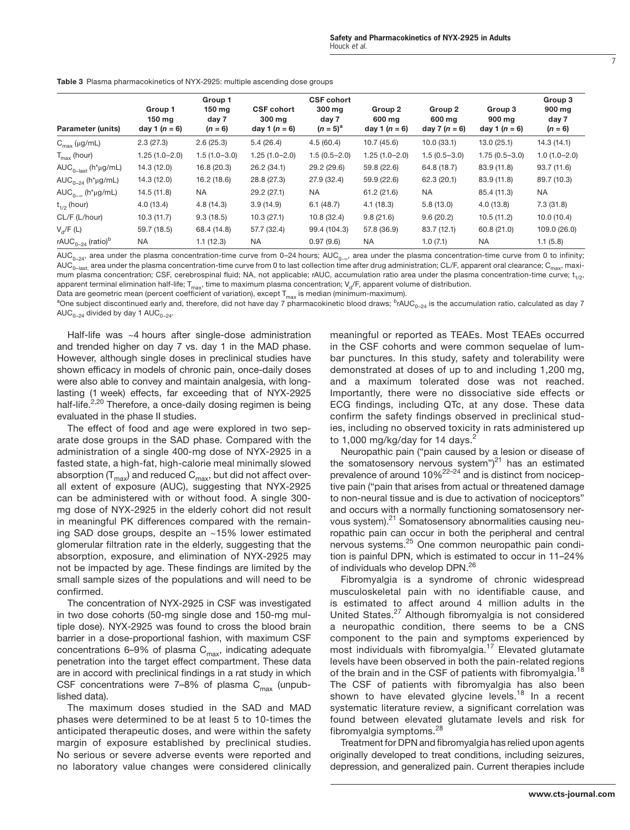|  | <b>Table 3</b> Plasma pharmacokinetics of NYX-2925: multiple ascending dose groups |
|--|------------------------------------------------------------------------------------|
|  |                                                                                    |

| <b>Parameter (units)</b>                                    | Group 1<br>$150 \text{ mg}$<br>day 1 $(n = 6)$ | Group 1<br>$150$ mg<br>day 7<br>$(n = 6)$ | <b>CSF cohort</b><br>300 mg<br>day 1 $(n = 6)$ | <b>CSF cohort</b><br>300 mg<br>day 7<br>$(n = 5)^{a}$ | Group 2<br>600 mg<br>day 1 $(n = 6)$ | Group <sub>2</sub><br>600 mg<br>day 7 $(n = 6)$ | Group 3<br>900 mg<br>day 1 $(n = 6)$ | Group 3<br>900 mg<br>day 7<br>$(n = 6)$ |
|-------------------------------------------------------------|------------------------------------------------|-------------------------------------------|------------------------------------------------|-------------------------------------------------------|--------------------------------------|-------------------------------------------------|--------------------------------------|-----------------------------------------|
| $C_{\text{max}}$ (µg/mL)                                    | 2.3(27.3)                                      | 2.6(25.3)                                 | 5.4(26.4)                                      | 4.5(60.4)                                             | 10.7(45.6)                           | 10.0(33.1)                                      | 13.0(25.1)                           | 14.3(14.1)                              |
| $T_{\text{max}}$ (hour)                                     | $1.25(1.0 - 2.0)$                              | $1.5(1.0-3.0)$                            | $1.25(1.0-2.0)$                                | $1.5(0.5-2.0)$                                        | $1.25(1.0 - 2.0)$                    | $1.5(0.5-3.0)$                                  | $1.75(0.5-3.0)$                      | $1.0(1.0-2.0)$                          |
| $AUC_{0-last}$ (h*µg/mL)                                    | 14.3(12.0)                                     | 16.8(20.3)                                | 26.2(34.1)                                     | 29.2 (29.6)                                           | 59.8 (22.6)                          | 64.8 (18.7)                                     | 83.9 (11.8)                          | 93.7 (11.6)                             |
| AUC <sub>0-24</sub> ( $h^{\star}$ µg/mL)                    | 14.3 (12.0)                                    | 16.2(18.6)                                | 28.8 (27.3)                                    | 27.9 (32.4)                                           | 59.9 (22.6)                          | 62.3 (20.1)                                     | 83.9 (11.8)                          | 89.7 (10.3)                             |
| AUC <sub>0-<math>\infty</math></sub> (h <sup>*</sup> µg/mL) | 14.5 (11.8)                                    | <b>NA</b>                                 | 29.2 (27.1)                                    | <b>NA</b>                                             | 61.2(21.6)                           | NA.                                             | 85.4 (11.3)                          | NA.                                     |
| $t_{1/2}$ (hour)                                            | 4.0(13.4)                                      | 4.8(14.3)                                 | 3.9(14.9)                                      | 6.1(48.7)                                             | 4.1(18.3)                            | 5.8(13.0)                                       | 4.0(13.8)                            | 7.3(31.8)                               |
| CL/F (L/hour)                                               | 10.3(11.7)                                     | 9.3(18.5)                                 | 10.3(27.1)                                     | 10.8(32.4)                                            | 9.8(21.6)                            | 9.6(20.2)                                       | 10.5(11.2)                           | 10.0(10.4)                              |
| $V_{d}/F(L)$                                                | 59.7 (18.5)                                    | 68.4 (14.8)                               | 57.7 (32.4)                                    | 99.4 (104.3)                                          | 57.8 (36.9)                          | 83.7 (12.1)                                     | 60.8 (21.0)                          | 109.0 (26.0)                            |
| rAUC <sub>0-24</sub> (ratio) <sup>b</sup>                   | NA                                             | 1.1(12.3)                                 | NA                                             | 0.97(9.6)                                             | NA                                   | 1.0(7.1)                                        | NA                                   | 1.1(5.8)                                |

AUC<sub>0–24</sub>, area under the plasma concentration-time curve from 0–24 hours; AUC<sub>0-∞</sub>, area under the plasma concentration-time curve from 0 to infinity; AUC<sub>0–last</sub> area under the plasma concentration-time curve from 0 to last collection time after drug administration; CL/F, apparent oral clearance; C<sub>max</sub>, maximum plasma concentration; CSF, cerebrospinal fluid; NA, not applicable; rAUC, accumulation ratio area under the plasma concentration-time curve;  $t_{1/2}$ , apparent terminal elimination half-life;  $T_{max}$ , time to maximum plasma concentration;  $V_{d}$ /F, apparent volume of distribution.

Data are geometric mean (percent coefficient of variation), except  $T_{max}$  is median (minimum-maximum).

One subject discontinued early and, therefore, did not have day 7 pharmacokinetic blood draws;  ${}^{\rm b}$ rAUC<sub>0-24</sub> is the accumulation ratio, calculated as day 7  $AUC_{0-24}$  divided by day 1  $AUC_{0-24}$ .

Half-life was ~4 hours after single-dose administration and trended higher on day 7 vs. day 1 in the MAD phase. However, although single doses in preclinical studies have shown efficacy in models of chronic pain, once-daily doses were also able to convey and maintain analgesia, with longlasting (1 week) effects, far exceeding that of NYX-2925 half-life.<sup>2,20</sup> Therefore, a once-daily dosing regimen is being evaluated in the phase II studies.

The effect of food and age were explored in two separate dose groups in the SAD phase. Compared with the administration of a single 400-mg dose of NYX-2925 in a fasted state, a high-fat, high-calorie meal minimally slowed absorption ( $T_{max}$ ) and reduced  $C_{max}$ , but did not affect overall extent of exposure (AUC), suggesting that NYX-2925 can be administered with or without food. A single 300 mg dose of NYX-2925 in the elderly cohort did not result in meaningful PK differences compared with the remaining SAD dose groups, despite an ~15% lower estimated glomerular filtration rate in the elderly, suggesting that the absorption, exposure, and elimination of NYX-2925 may not be impacted by age. These findings are limited by the small sample sizes of the populations and will need to be confirmed.

The concentration of NYX-2925 in CSF was investigated in two dose cohorts (50-mg single dose and 150-mg multiple dose). NYX-2925 was found to cross the blood brain barrier in a dose-proportional fashion, with maximum CSF concentrations 6–9% of plasma  $C_{max}$ , indicating adequate penetration into the target effect compartment. These data are in accord with preclinical findings in a rat study in which CSF concentrations were 7–8% of plasma  $C_{\text{max}}$  (unpublished data).

The maximum doses studied in the SAD and MAD phases were determined to be at least 5 to 10-times the anticipated therapeutic doses, and were within the safety margin of exposure established by preclinical studies. No serious or severe adverse events were reported and no laboratory value changes were considered clinically meaningful or reported as TEAEs. Most TEAEs occurred in the CSF cohorts and were common sequelae of lumbar punctures. In this study, safety and tolerability were demonstrated at doses of up to and including 1,200 mg, and a maximum tolerated dose was not reached. Importantly, there were no dissociative side effects or ECG findings, including QTc, at any dose. These data confirm the safety findings observed in preclinical studies, including no observed toxicity in rats administered up to  $1,000$  mg/kg/day for  $14$  days.

Neuropathic pain ("pain caused by a lesion or disease of the somatosensory nervous system") $21$  has an estimated prevalence of around 10%22–24 and is distinct from nociceptive pain ("pain that arises from actual or threatened damage to non-neural tissue and is due to activation of nociceptors" and occurs with a normally functioning somatosensory nervous system).<sup>21</sup> Somatosensory abnormalities causing neuropathic pain can occur in both the peripheral and central nervous systems.25 One common neuropathic pain condition is painful DPN, which is estimated to occur in 11–24% of individuals who develop DPN.26

Fibromyalgia is a syndrome of chronic widespread musculoskeletal pain with no identifiable cause, and is estimated to affect around 4 million adults in the United States.<sup>27</sup> Although fibromyalgia is not considered a neuropathic condition, there seems to be a CNS component to the pain and symptoms experienced by most individuals with fibromyalgia.17 Elevated glutamate levels have been observed in both the pain-related regions of the brain and in the CSF of patients with fibromyalgia.<sup>18</sup> The CSF of patients with fibromyalgia has also been shown to have elevated glycine levels.<sup>18</sup> In a recent systematic literature review, a significant correlation was found between elevated glutamate levels and risk for fibromyalgia symptoms.<sup>28</sup>

Treatment for DPN and fibromyalgia has relied upon agents originally developed to treat conditions, including seizures, depression, and generalized pain. Current therapies include